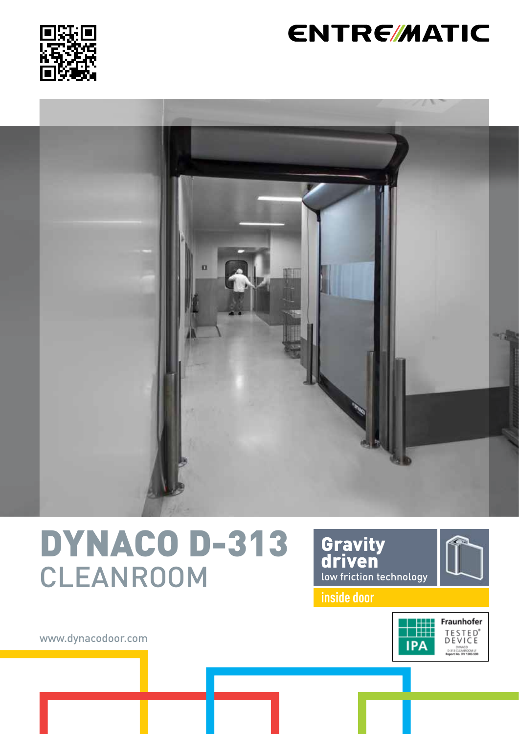

### **ENTRE/MATIC**



## DYNACO D-313 CLEANROOM





**inside door**



www.dynacodoor.com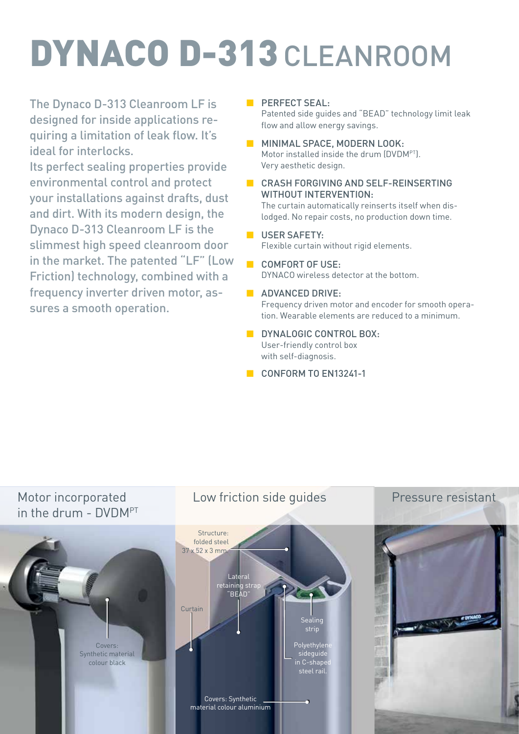# DYNACO D-313 CLEANROOM

The Dynaco D-313 Cleanroom LF is designed for inside applications requiring a limitation of leak flow. It's ideal for interlocks.

Its perfect sealing properties provide environmental control and protect your installations against drafts, dust and dirt. With its modern design, the Dynaco D-313 Cleanroom LF is the slimmest high speed cleanroom door in the market. The patented "LF" (Low Friction) technology, combined with a frequency inverter driven motor, assures a smooth operation.

**E** PERFECT SEAL:

Patented side guides and "BEAD" technology limit leak flow and allow energy savings.

- **MINIMAL SPACE, MODERN LOOK:** Motor installed inside the drum (DVDMPT). Very aesthetic design.
- CRASH FORGIVING AND SELF-REINSERTING WITHOUT INTERVENTION:

The curtain automatically reinserts itself when dislodged. No repair costs, no production down time.

#### **B** USER SAFFTY: Flexible curtain without rigid elements.

#### ■ COMFORT OF USE: DYNACO wireless detector at the bottom.

**B** ADVANCED DRIVE:

Frequency driven motor and encoder for smooth operation. Wearable elements are reduced to a minimum.

- **B** DYNALOGIC CONTROL BOX. User-friendly control box with self-diagnosis.
- CONFORM TO EN13241-1

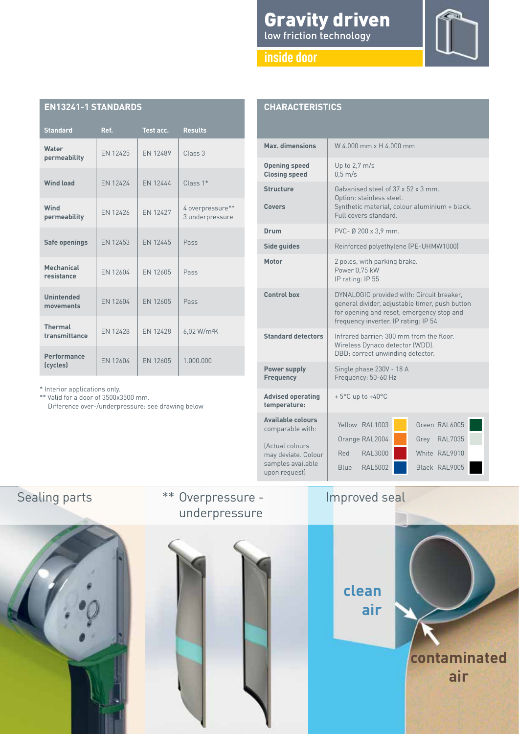| <b>Gravity driven</b>   |  |  |
|-------------------------|--|--|
| low friction technology |  |  |

#### **inside door**



| <b>EN13241-1 STANDARDS</b>      |          |                 |                                     |  |  |
|---------------------------------|----------|-----------------|-------------------------------------|--|--|
| <b>Standard</b>                 | Ref.     | Test acc.       | <b>Results</b>                      |  |  |
| Water<br>permeability           | EN 12425 | <b>EN 12489</b> | Class 3                             |  |  |
| <b>Wind load</b>                | FN 12424 | <b>FN 12444</b> | $Class 1*$                          |  |  |
| Wind<br>permeability            | FN 12426 | FN 12427        | 4 overpressure**<br>3 underpressure |  |  |
| Safe openings                   | EN 12453 | EN 12445        | Pass                                |  |  |
| Mechanical<br>resistance        | FN 12604 | FN 12605        | Pass                                |  |  |
| <b>Unintended</b><br>movements  | EN 12604 | EN 12605        | Pass                                |  |  |
| <b>Thermal</b><br>transmittance | FN 12428 | FN 12428        | 6,02 W/m <sup>2</sup> K             |  |  |
| Performance<br>(cycles)         | FN 12604 | <b>FN 12605</b> | 1.000.000                           |  |  |

|  | * Interior applications only. |  |
|--|-------------------------------|--|
|  |                               |  |

\*\* Valid for a door of 3500x3500 mm. Difference over-/underpressure: see drawing below

| <b>CHARACTERISTICS</b>                                                       |                                                                                                                                                                                  |  |  |  |  |
|------------------------------------------------------------------------------|----------------------------------------------------------------------------------------------------------------------------------------------------------------------------------|--|--|--|--|
| Max. dimensions                                                              | W 4.000 mm x H 4.000 mm                                                                                                                                                          |  |  |  |  |
| <b>Opening speed</b><br><b>Closing speed</b>                                 | Up to $2,7$ m/s<br>$0.5 \text{ m/s}$                                                                                                                                             |  |  |  |  |
| <b>Structure</b><br>Covers                                                   | Galvanised steel of 37 x 52 x 3 mm.<br>Option: stainless steel.<br>Synthetic material, colour aluminium + black.<br>Full covers standard.                                        |  |  |  |  |
| Drum                                                                         | PVC- Ø 200 x 3,9 mm.                                                                                                                                                             |  |  |  |  |
| Side guides                                                                  | Reinforced polyethylene (PE-UHMW1000)                                                                                                                                            |  |  |  |  |
| <b>Motor</b>                                                                 | 2 poles, with parking brake.<br>Power 0,75 kW<br>IP rating: IP 55                                                                                                                |  |  |  |  |
| Control box                                                                  | DYNALOGIC provided with: Circuit breaker,<br>general divider, adjustable timer, push button<br>for opening and reset, emergency stop and<br>frequency inverter. IP rating: IP 54 |  |  |  |  |
| <b>Standard detectors</b>                                                    | Infrared barrier: 300 mm from the floor.<br>Wireless Dynaco detector (WDD).<br>DBD: correct unwinding detector.                                                                  |  |  |  |  |
| <b>Power supply</b><br><b>Frequency</b>                                      | Single phase 230V - 18 A<br>Frequency: 50-60 Hz                                                                                                                                  |  |  |  |  |
| <b>Advised operating</b><br>temperature:                                     | $+5^{\circ}$ C up to $+40^{\circ}$ C                                                                                                                                             |  |  |  |  |
| <b>Available colours</b><br>comparable with:                                 | Yellow RAL1003<br>Green RAL6005                                                                                                                                                  |  |  |  |  |
| (Actual colours<br>may deviate. Colour<br>samples available<br>upon request) | Orange RAL2004<br>Grey RAL7035<br>White RAL9010<br>Red<br><b>RAL3000</b><br><b>RAL5002</b><br>Black RAL9005<br>Blue                                                              |  |  |  |  |



**clean air**

Improved seal

**contaminated air**